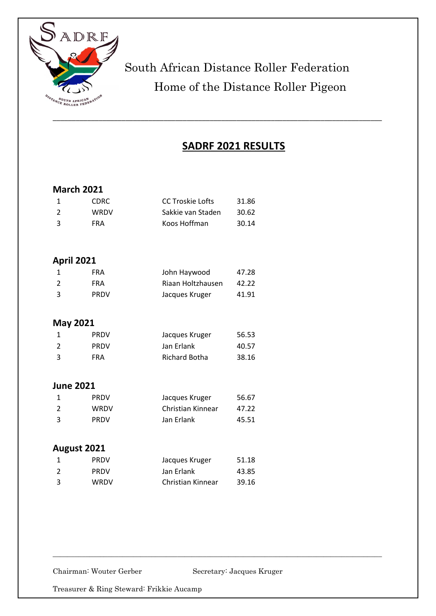

# South African Distance Roller Federation Home of the Distance Roller Pigeon

### **SADRF 2021 RESULTS**

### **March 2021**

|                          | CDRC.       | CC Troskie Lofts  | 31.86 |
|--------------------------|-------------|-------------------|-------|
| $\overline{\phantom{a}}$ | <b>WRDV</b> | Sakkie van Staden | 30.62 |
| -3                       | FRA         | Koos Hoffman      | 30.14 |

### **April 2021**

|    | <b>FRA</b>  | John Haywood      | 47.28 |
|----|-------------|-------------------|-------|
|    | <b>FRA</b>  | Riaan Holtzhausen | 42.22 |
| -3 | <b>PRDV</b> | Jacques Kruger    | 41.91 |

#### **May 2021**

|    | <b>PRDV</b> | Jacques Kruger | 56.53 |
|----|-------------|----------------|-------|
|    | <b>PRDV</b> | Jan Erlank     | 40.57 |
| -3 | FRA         | Richard Botha  | 38.16 |

### **June 2021**

|    | <b>PRDV</b> | Jacques Kruger    | 56.67 |
|----|-------------|-------------------|-------|
| 2  | WRDV        | Christian Kinnear | 47.22 |
| -3 | <b>PRDV</b> | Jan Erlank        | 45.51 |

### **August 2021**

|                | <b>PRDV</b> | Jacques Kruger    | 51.18 |
|----------------|-------------|-------------------|-------|
| $\overline{2}$ | <b>PRDV</b> | Jan Erlank        | 43.85 |
| ્વ             | WRDV        | Christian Kinnear | 39.16 |

Chairman: Wouter Gerber Secretary: Jacques Kruger

 $\_$  , and the set of the set of the set of the set of the set of the set of the set of the set of the set of the set of the set of the set of the set of the set of the set of the set of the set of the set of the set of th

Treasurer & Ring Steward: Frikkie Aucamp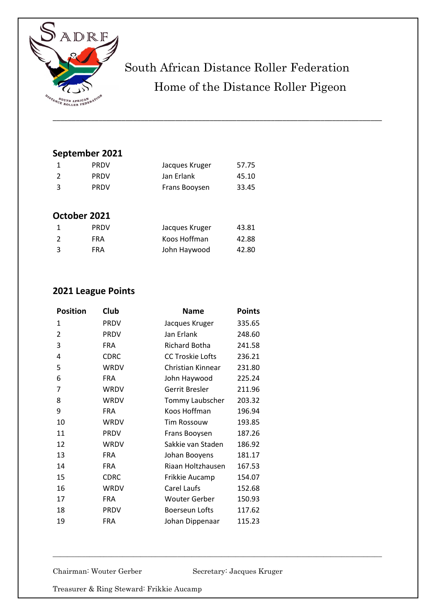

# South African Distance Roller Federation Home of the Distance Roller Pigeon

\_\_\_\_\_\_\_\_\_\_\_\_\_\_\_\_\_\_\_\_\_\_\_\_\_\_\_\_\_\_\_\_\_\_\_\_\_\_\_\_\_\_\_\_\_\_\_\_\_\_\_\_\_\_\_\_\_\_\_\_\_\_\_\_\_\_\_\_\_\_\_\_\_\_\_\_\_\_\_\_\_\_\_\_\_\_

### **September 2021**

|   | <b>PRDV</b>  | Jacques Kruger | 57.75 |
|---|--------------|----------------|-------|
| 2 | <b>PRDV</b>  | Jan Erlank     | 45.10 |
| 3 | <b>PRDV</b>  | Frans Booysen  | 33.45 |
|   |              |                |       |
|   | October 2021 |                |       |
| 1 | <b>PRDV</b>  | Jacques Kruger | 43.81 |
| 2 |              | Koos Hoffman   | 42.88 |
|   | <b>FRA</b>   |                |       |
| 3 | <b>FRA</b>   | John Haywood   | 42.80 |

### **2021 League Points**

| <b>Position</b> | Club        | <b>Name</b>             | <b>Points</b> |
|-----------------|-------------|-------------------------|---------------|
| 1               | <b>PRDV</b> | Jacques Kruger          | 335.65        |
| 2               | <b>PRDV</b> | Jan Erlank              | 248.60        |
| 3               | <b>FRA</b>  | Richard Botha           | 241.58        |
| 4               | <b>CDRC</b> | <b>CC Troskie Lofts</b> | 236.21        |
| 5               | WRDV        | Christian Kinnear       | 231.80        |
| 6               | <b>FRA</b>  | John Haywood            | 225.24        |
| 7               | WRDV        | Gerrit Bresler          | 211.96        |
| 8               | WRDV        | Tommy Laubscher         | 203.32        |
| 9               | <b>FRA</b>  | Koos Hoffman            | 196.94        |
| 10              | WRDV        | <b>Tim Rossouw</b>      | 193.85        |
| 11              | <b>PRDV</b> | Frans Booysen           | 187.26        |
| 12              | <b>WRDV</b> | Sakkie van Staden       | 186.92        |
| 13              | <b>FRA</b>  | Johan Booyens           | 181.17        |
| 14              | <b>FRA</b>  | Riaan Holtzhausen       | 167.53        |
| 15              | <b>CDRC</b> | Frikkie Aucamp          | 154.07        |
| 16              | WRDV        | Carel Laufs             | 152.68        |
| 17              | <b>FRA</b>  | <b>Wouter Gerber</b>    | 150.93        |
| 18              | <b>PRDV</b> | Boerseun Lofts          | 117.62        |
| 19              | <b>FRA</b>  | Johan Dippenaar         | 115.23        |
|                 |             |                         |               |

Chairman: Wouter Gerber Secretary: Jacques Kruger

 $\_$  , and the set of the set of the set of the set of the set of the set of the set of the set of the set of the set of the set of the set of the set of the set of the set of the set of the set of the set of the set of th

Treasurer & Ring Steward: Frikkie Aucamp